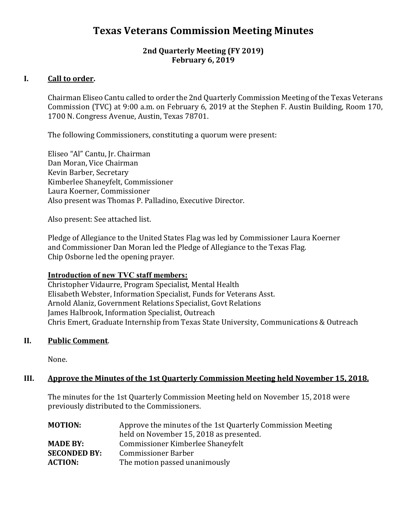# **Texas Veterans Commission Meeting Minutes**

## **2nd Quarterly Meeting (FY 2019) February 6, 2019**

# **I. Call to order.**

Chairman Eliseo Cantu called to order the 2nd Quarterly Commission Meeting of the Texas Veterans Commission (TVC) at 9:00 a.m. on February 6, 2019 at the Stephen F. Austin Building, Room 170, 1700 N. Congress Avenue, Austin, Texas 78701.

The following Commissioners, constituting a quorum were present:

Eliseo "Al" Cantu, Jr. Chairman Dan Moran, Vice Chairman Kevin Barber, Secretary Kimberlee Shaneyfelt, Commissioner Laura Koerner, Commissioner Also present was Thomas P. Palladino, Executive Director.

Also present: See attached list.

Pledge of Allegiance to the United States Flag was led by Commissioner Laura Koerner and Commissioner Dan Moran led the Pledge of Allegiance to the Texas Flag. Chip Osborne led the opening prayer.

## **Introduction of new TVC staff members:**

Christopher Vidaurre, Program Specialist, Mental Health Elisabeth Webster, Information Specialist, Funds for Veterans Asst. Arnold Alaniz, Government Relations Specialist, Govt Relations James Halbrook, Information Specialist, Outreach Chris Emert, Graduate Internship from Texas State University, Communications & Outreach

## **II. Public Comment**.

None.

## **III. Approve the Minutes of the 1st Quarterly Commission Meeting held November 15, 2018.**

The minutes for the 1st Quarterly Commission Meeting held on November 15, 2018 were previously distributed to the Commissioners.

| <b>MOTION:</b>      | Approve the minutes of the 1st Quarterly Commission Meeting<br>held on November 15, 2018 as presented. |  |
|---------------------|--------------------------------------------------------------------------------------------------------|--|
| <b>MADE BY:</b>     | Commissioner Kimberlee Shaneyfelt                                                                      |  |
| <b>SECONDED BY:</b> | <b>Commissioner Barber</b>                                                                             |  |
| <b>ACTION:</b>      | The motion passed unanimously                                                                          |  |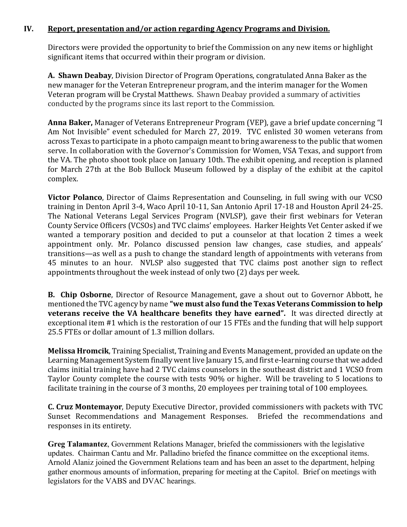# **IV. Report, presentation and/or action regarding Agency Programs and Division.**

Directors were provided the opportunity to brief the Commission on any new items or highlight significant items that occurred within their program or division.

**A. Shawn Deabay**, Division Director of Program Operations, congratulated Anna Baker as the new manager for the Veteran Entrepreneur program, and the interim manager for the Women Veteran program will be Crystal Matthews. Shawn Deabay provided a summary of activities conducted by the programs since its last report to the Commission.

**Anna Baker,** Manager of Veterans Entrepreneur Program (VEP), gave a brief update concerning "I Am Not Invisible" event scheduled for March 27, 2019. TVC enlisted 30 women veterans from across Texas to participate in a photo campaign meant to bring awareness to the public that women serve. In collaboration with the Governor's Commission for Women, VSA Texas, and support from the VA. The photo shoot took place on January 10th. The exhibit opening, and reception is planned for March 27th at the Bob Bullock Museum followed by a display of the exhibit at the capitol complex.

**Victor Polanco**, Director of Claims Representation and Counseling, in full swing with our VCSO training in Denton April 3-4, Waco April 10-11, San Antonio April 17-18 and Houston April 24-25. The National Veterans Legal Services Program (NVLSP), gave their first webinars for Veteran County Service Officers (VCSOs) and TVC claims' employees. Harker Heights Vet Center asked if we wanted a temporary position and decided to put a counselor at that location 2 times a week appointment only. Mr. Polanco discussed pension law changes, case studies, and appeals' transitions—as well as a push to change the standard length of appointments with veterans from 45 minutes to an hour. NVLSP also suggested that TVC claims post another sign to reflect appointments throughout the week instead of only two (2) days per week.

**B. Chip Osborne**, Director of Resource Management, gave a shout out to Governor Abbott, he mentioned the TVC agency by name **"we must also fund the Texas Veterans Commission to help veterans receive the VA healthcare benefits they have earned".** It was directed directly at exceptional item #1 which is the restoration of our 15 FTEs and the funding that will help support 25.5 FTEs or dollar amount of 1.3 million dollars.

**Melissa Hromcik**, Training Specialist, Training and Events Management, provided an update on the Learning Management System finally went live January 15, and first e-learning course that we added claims initial training have had 2 TVC claims counselors in the southeast district and 1 VCSO from Taylor County complete the course with tests 90% or higher. Will be traveling to 5 locations to facilitate training in the course of 3 months, 20 employees per training total of 100 employees.

**C. Cruz Montemayor**, Deputy Executive Director, provided commissioners with packets with TVC Sunset Recommendations and Management Responses. Briefed the recommendations and responses in its entirety.

**Greg Talamantez**, Government Relations Manager, briefed the commissioners with the legislative updates. Chairman Cantu and Mr. Palladino briefed the finance committee on the exceptional items. Arnold Alaniz joined the Government Relations team and has been an asset to the department, helping gather enormous amounts of information, preparing for meeting at the Capitol. Brief on meetings with legislators for the VABS and DVAC hearings.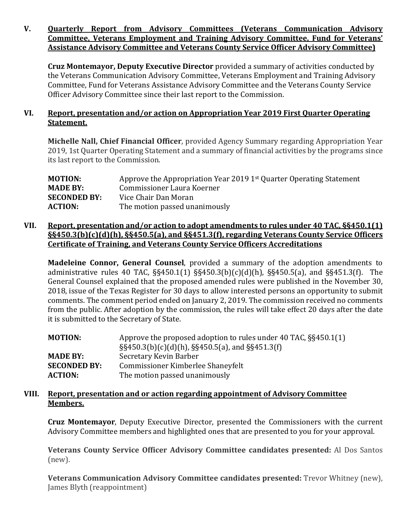## **V. Quarterly Report from Advisory Committees (Veterans Communication Advisory Committee, Veterans Employment and Training Advisory Committee, Fund for Veterans' Assistance Advisory Committee and Veterans County Service Officer Advisory Committee)**

**Cruz Montemayor, Deputy Executive Director** provided a summary of activities conducted by the Veterans Communication Advisory Committee, Veterans Employment and Training Advisory Committee, Fund for Veterans Assistance Advisory Committee and the Veterans County Service Officer Advisory Committee since their last report to the Commission.

# **VI. Report, presentation and/or action on Appropriation Year 2019 First Quarter Operating Statement.**

**Michelle Nall, Chief Financial Officer**, provided Agency Summary regarding Appropriation Year 2019, 1st Quarter Operating Statement and a summary of financial activities by the programs since its last report to the Commission.

| Approve the Appropriation Year 2019 1 <sup>st</sup> Quarter Operating Statement |
|---------------------------------------------------------------------------------|
| Commissioner Laura Koerner                                                      |
| Vice Chair Dan Moran                                                            |
| The motion passed unanimously                                                   |
|                                                                                 |

# **VII. Report, presentation and/or action to adopt amendments to rules under 40 TAC, §§450.1(1) §§450.3(b)(c)(d)(h), §§450.5(a), and §§451.3(f), regarding Veterans County Service Officers Certificate of Training, and Veterans County Service Officers Accreditations**

**Madeleine Connor, General Counsel**, provided a summary of the adoption amendments to administrative rules 40 TAC, §§450.1(1) §§450.3(b)(c)(d)(h), §§450.5(a), and §§451.3(f). The General Counsel explained that the proposed amended rules were published in the November 30, 2018, issue of the Texas Register for 30 days to allow interested persons an opportunity to submit comments. The comment period ended on January 2, 2019. The commission received no comments from the public. After adoption by the commission, the rules will take effect 20 days after the date it is submitted to the Secretary of State.

| <b>MOTION:</b>      | Approve the proposed adoption to rules under 40 TAC, $\S$ $\S$ 450.1(1)<br>$\S$ \$450.3(b)(c)(d)(h), $\S$ \$450.5(a), and $\S$ \$451.3(f) |  |
|---------------------|-------------------------------------------------------------------------------------------------------------------------------------------|--|
| <b>MADE BY:</b>     | Secretary Kevin Barber                                                                                                                    |  |
| <b>SECONDED BY:</b> | Commissioner Kimberlee Shaneyfelt                                                                                                         |  |
| <b>ACTION:</b>      | The motion passed unanimously                                                                                                             |  |

## **VIII. Report, presentation and or action regarding appointment of Advisory Committee Members.**

**Cruz Montemayor**, Deputy Executive Director, presented the Commissioners with the current Advisory Committee members and highlighted ones that are presented to you for your approval.

**Veterans County Service Officer Advisory Committee candidates presented:** Al Dos Santos (new).

**Veterans Communication Advisory Committee candidates presented:** Trevor Whitney (new), James Blyth (reappointment)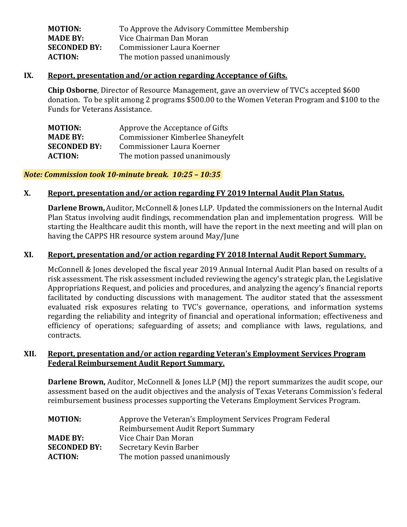| <b>MOTION:</b>      | To Approve the Advisory Committee Membership |
|---------------------|----------------------------------------------|
| <b>MADE BY:</b>     | Vice Chairman Dan Moran                      |
| <b>SECONDED BY:</b> | Commissioner Laura Koerner                   |
| <b>ACTION:</b>      | The motion passed unanimously                |
|                     |                                              |

#### **IX. Report, presentation and/or action regarding Acceptance of Gifts.**

**Chip Osborne**, Director of Resource Management, gave an overview of TVC's accepted \$600 donation. To be split among 2 programs \$500.00 to the Women Veteran Program and \$100 to the Funds for Veterans Assistance.

| <b>MOTION:</b>      | Approve the Acceptance of Gifts   |
|---------------------|-----------------------------------|
| <b>MADE BY:</b>     | Commissioner Kimberlee Shaneyfelt |
| <b>SECONDED BY:</b> | Commissioner Laura Koerner        |
| <b>ACTION:</b>      | The motion passed unanimously     |
|                     |                                   |

#### *Note: Commission took 10-minute break. 10:25 – 10:35*

#### **X. Report, presentation and/or action regarding FY 2019 Internal Audit Plan Status.**

**Darlene Brown,** Auditor, McConnell & Jones LLP. Updated the commissioners on the Internal Audit Plan Status involving audit findings, recommendation plan and implementation progress. Will be starting the Healthcare audit this month, will have the report in the next meeting and will plan on having the CAPPS HR resource system around May/June

## **XI. Report, presentation and/or action regarding FY 2018 Internal Audit Report Summary.**

McConnell & Jones developed the fiscal year 2019 Annual Internal Audit Plan based on results of a risk assessment. The risk assessment included reviewing the agency's strategic plan, the Legislative Appropriations Request, and policies and procedures, and analyzing the agency's financial reports facilitated by conducting discussions with management. The auditor stated that the assessment evaluated risk exposures relating to TVC's governance, operations, and information systems regarding the reliability and integrity of financial and operational information; effectiveness and efficiency of operations; safeguarding of assets; and compliance with laws, regulations, and contracts.

#### **XII. Report, presentation and/or action regarding Veteran's Employment Services Program Federal Reimbursement Audit Report Summary.**

**Darlene Brown, Auditor, McConnell & Jones LLP (MJ) the report summarizes the audit scope, our** assessment based on the audit objectives and the analysis of Texas Veterans Commission's federal reimbursement business processes supporting the Veterans Employment Services Program.

| <b>MOTION:</b>      | Approve the Veteran's Employment Services Program Federal |  |
|---------------------|-----------------------------------------------------------|--|
|                     | Reimbursement Audit Report Summary                        |  |
| <b>MADE BY:</b>     | Vice Chair Dan Moran                                      |  |
| <b>SECONDED BY:</b> | Secretary Kevin Barber                                    |  |
| <b>ACTION:</b>      | The motion passed unanimously                             |  |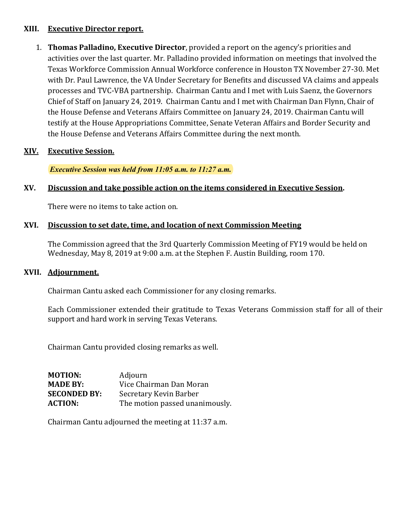# **XIII. Executive Director report.**

1. **Thomas Palladino, Executive Director**, provided a report on the agency's priorities and activities over the last quarter. Mr. Palladino provided information on meetings that involved the Texas Workforce Commission Annual Workforce conference in Houston TX November 27-30. Met with Dr. Paul Lawrence, the VA Under Secretary for Benefits and discussed VA claims and appeals processes and TVC-VBA partnership. Chairman Cantu and I met with Luis Saenz, the Governors Chief of Staff on January 24, 2019. Chairman Cantu and I met with Chairman Dan Flynn, Chair of the House Defense and Veterans Affairs Committee on January 24, 2019. Chairman Cantu will testify at the House Appropriations Committee, Senate Veteran Affairs and Border Security and the House Defense and Veterans Affairs Committee during the next month.

# **XIV. Executive Session.**

*Executive Session was held from 11:05 a.m. to 11:27 a.m.*

# **XV. Discussion and take possible action on the items considered in Executive Session.**

There were no items to take action on.

# **XVI. Discussion to set date, time, and location of next Commission Meeting**

The Commission agreed that the 3rd Quarterly Commission Meeting of FY19 would be held on Wednesday, May 8, 2019 at 9:00 a.m. at the Stephen F. Austin Building, room 170.

## **XVII. Adjournment.**

Chairman Cantu asked each Commissioner for any closing remarks.

Each Commissioner extended their gratitude to Texas Veterans Commission staff for all of their support and hard work in serving Texas Veterans.

Chairman Cantu provided closing remarks as well.

| <b>MOTION:</b>      | Adjourn                        |
|---------------------|--------------------------------|
| <b>MADE BY:</b>     | Vice Chairman Dan Moran        |
| <b>SECONDED BY:</b> | Secretary Kevin Barber         |
| <b>ACTION:</b>      | The motion passed unanimously. |

Chairman Cantu adjourned the meeting at 11:37 a.m.